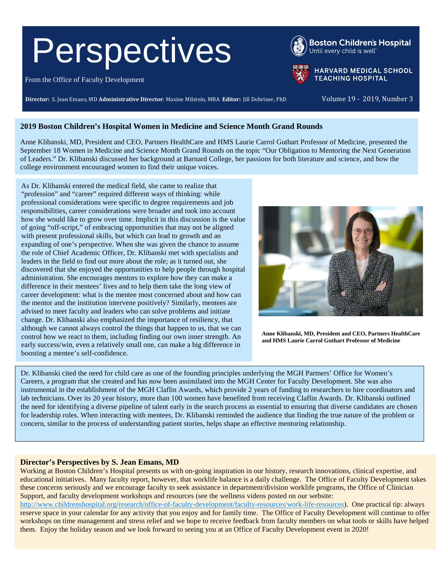# **Perspectives**

From the Office of Faculty Development

**Director:** S. Jean Emans, MD **Administrative Director**: Maxine Milstein, MBA **Editor:** Jill Dobriner, PhD Volume 19 - 2019, Number 3

## **2019 Boston Children's Hospital Women in Medicine and Science Month Grand Rounds**

Anne Klibanski, MD, President and CEO, Partners HealthCare and HMS Laurie Carrol Guthart Professor of Medicine, presented the September 18 Women in Medicine and Science Month Grand Rounds on the topic "Our Obligation to Mentoring the Next Generation of Leaders." Dr. Klibanski discussed her background at Barnard College, her passions for both literature and science, and how the college environment encouraged women to find their unique voices.

As Dr. Klibanski entered the medical field, she came to realize that "profession" and "career" required different ways of thinking: while professional considerations were specific to degree requirements and job responsibilities, career considerations were broader and took into account how she would like to grow over time. Implicit in this discussion is the value of going "off-script," of embracing opportunities that may not be aligned with present professional skills, but which can lead to growth and an expanding of one's perspective. When she was given the chance to assume the role of Chief Academic Officer, Dr. Klibanski met with specialists and leaders in the field to find out more about the role; as it turned out, she discovered that she enjoyed the opportunities to help people through hospital administration. She encourages mentors to explore how they can make a difference in their mentees' lives and to help them take the long view of career development: what is the mentee most concerned about and how can the mentor and the institution intervene positively? Similarly, mentees are advised to meet faculty and leaders who can solve problems and initiate change. Dr. Klibanski also emphasized the importance of resiliency, that although we cannot always control the things that happen to us, that we can control how we react to them, including finding our own inner strength. An early success/win, even a relatively small one, can make a big difference in boosting a mentee's self-confidence.

**Anne Klibanski, MD, President and CEO, Partners HealthCare and HMS Laurie Carrol Guthart Professor of Medicine**

Dr. Klibanski cited the need for child care as one of the founding principles underlying the MGH Partners' Office for Women's Careers, a program that she created and has now been assimilated into the MGH Center for Faculty Development. She was also instrumental in the establishment of the MGH Claflin Awards, which provide 2 years of funding to researchers to hire coordinators and lab technicians. Over its 20 year history, more than 100 women have benefited from receiving Claflin Awards. Dr. Klibanski outlined the need for identifying a diverse pipeline of talent early in the search process as essential to ensuring that diverse candidates are chosen for leadership roles. When interacting with mentees, Dr. Klibanski reminded the audience that finding the true nature of the problem or concern, similar to the process of understanding patient stories, helps shape an effective mentoring relationship.

## **Director's Perspectives by S. Jean Emans, MD**

Working at Boston Children's Hospital presents us with on-going inspiration in our history, research innovations, clinical expertise, and educational initiatives. Many faculty report, however, that worklife balance is a daily challenge. The Office of Faculty Development takes these concerns seriously and we encourage faculty to seek assistance in department/division worklife programs, the Office of Clinician Support, and faculty development workshops and resources (see the wellness videos posted on our website:

[http://www.childrenshospital.org/research/office-of-faculty-development/faculty-resources/work-life-resources\)](http://www.childrenshospital.org/research/office-of-faculty-development/faculty-resources/work-life-resources). One practical tip: always reserve space in your calendar for any activity that you enjoy and for family time. The Office of Faculty Development will continue to offer workshops on time management and stress relief and we hope to receive feedback from faculty members on what tools or skills have helped them. Enjoy the holiday season and we look forward to seeing you at an Office of Faculty Development event in 2020!





**Boston Children's Hospital** Until every child is well"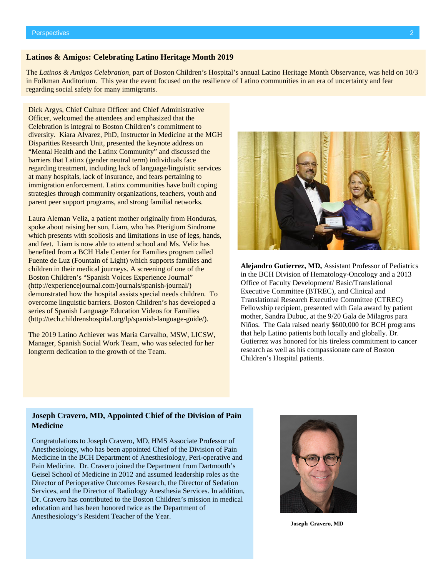#### **Latinos & Amigos: Celebrating Latino Heritage Month 2019**

The *Latinos & Amigos Celebration,* part of Boston Children's Hospital's annual Latino Heritage Month Observance, was held on 10/3 in Folkman Auditorium. This year the event focused on the resilience of Latino communities in an era of uncertainty and fear regarding social safety for many immigrants.

Dick Argys, Chief Culture Officer and Chief Administrative Officer, welcomed the attendees and emphasized that the Celebration is integral to Boston Children's commitment to diversity. Kiara Alvarez, PhD, Instructor in Medicine at the MGH Disparities Research Unit, presented the keynote address on "Mental Health and the Latinx Community" and discussed the barriers that Latinx (gender neutral term) individuals face regarding treatment, including lack of language/linguistic services at many hospitals, lack of insurance, and fears pertaining to immigration enforcement. Latinx communities have built coping strategies through community organizations, teachers, youth and parent peer support programs, and strong familial networks.

Laura Aleman Veliz, a patient mother originally from Honduras, spoke about raising her son, Liam, who has Pterigium Sindrome which presents with scoliosis and limitations in use of legs, hands, and feet. Liam is now able to attend school and Ms. Veliz has benefited from a BCH Hale Center for Families program called Fuente de Luz (Fountain of Light) which supports families and children in their medical journeys. A screening of one of the Boston Children's "Spanish Voices Experience Journal" [\(http://experiencejournal.com/journals/spanish-journal/\)](https://urldefense.proofpoint.com/v2/url?u=http-3A__experiencejournal.com_journals_spanish-2Djournal_&d=DwMFaQ&c=qS4goWBT7poplM69zy_3xhKwEW14JZMSdioCoppxeFU&r=GRuDgI5_cnGLq7SRiwByHuKGgyYmd3KXhKEZJTJvKLe_qCRuYGghT4SmJiT6dcpd&m=ohoTYSo53Gr3AOGoDVc8B0ujzL12PhDdMUgSJqEhaWg&s=6hbCijT96aY-EZt4pzvjEJG67mWM9SIp1LwRzE9sSkE&e=) demonstrated how the hospital assists special needs children. To overcome linguistic barriers. Boston Children's has developed a series of Spanish Language Education Videos for Families [\(http://tech.childrenshospital.org/lp/spanish-language-guide/\)](http://tech.childrenshospital.org/lp/spanish-language-guide/).

The 2019 Latino Achiever was Maria Carvalho, MSW, LICSW, Manager, Spanish Social Work Team, who was selected for her longterm dedication to the growth of the Team.



**Alejandro Gutierrez, MD,** Assistant Professor of Pediatrics in the BCH Division of Hematology-Oncology and a 2013 Office of Faculty Development/ Basic/Translational Executive Committee (BTREC), and Clinical and Translational Research Executive Committee (CTREC) Fellowship recipient, presented with Gala award by patient mother, Sandra Dubuc, at the 9/20 Gala de Milagros para Niños. The Gala raised nearly \$600,000 for BCH programs that help Latino patients both locally and globally. Dr. Gutierrez was honored for his tireless commitment to cancer research as well as his compassionate care of Boston Children's Hospital patients.

#### **Joseph Cravero, MD, Appointed Chief of the Division of Pain Medicine**

Congratulations to Joseph Cravero, MD, HMS Associate Professor of Anesthesiology, who has been appointed Chief of the Division of Pain Medicine in the BCH Department of Anesthesiology, Peri-operative and Pain Medicine. Dr. Cravero joined the Department from Dartmouth's Geisel School of Medicine in 2012 and assumed leadership roles as the Director of Perioperative Outcomes Research, the Director of Sedation Services, and the Director of Radiology Anesthesia Services. In addition, Dr. Cravero has contributed to the Boston Children's mission in medical education and has been honored twice as the Department of Anesthesiology's Resident Teacher of the Year.



**Joseph Cravero, MD**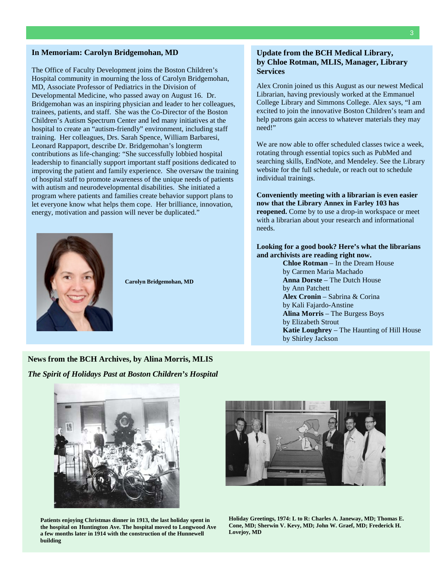#### **In Memoriam: Carolyn Bridgemohan, MD**

The Office of Faculty Development joins the Boston Children's Hospital community in mourning the loss of Carolyn Bridgemohan, MD, Associate Professor of Pediatrics in the Division of Developmental Medicine, who passed away on August 16. Dr. Bridgemohan was an inspiring physician and leader to her colleagues, trainees, patients, and staff. She was the Co-Director of the Boston Children's Autism Spectrum Center and led many initiatives at the hospital to create an "autism-friendly" environment, including staff training. Her colleagues, Drs. Sarah Spence, William Barbaresi, Leonard Rappaport, describe Dr. Bridgemohan's longterm contributions as life-changing: "She successfully lobbied hospital leadership to financially support important staff positions dedicated to improving the patient and family experience. She oversaw the training of hospital staff to promote awareness of the unique needs of patients with autism and neurodevelopmental disabilities. She initiated a program where patients and families create behavior support plans to let everyone know what helps them cope. Her brilliance, innovation, energy, motivation and passion will never be duplicated."



**Carolyn Bridgemohan, MD**

## **Update from the BCH Medical Library, by Chloe Rotman, MLIS, Manager, Library Services**

Alex Cronin joined us this August as our newest Medical Librarian, having previously worked at the Emmanuel College Library and Simmons College. Alex says, "I am excited to join the innovative Boston Children's team and help patrons gain access to whatever materials they may need!"

We are now able to offer scheduled classes twice a week. rotating through essential topics such as PubMed and searching skills, EndNote, and Mendeley. See the Library website for the full schedule, or reach out to schedule individual trainings.

#### **Conveniently meeting with a librarian is even easier now that the Library Annex in Farley 103 has reopened.** Come by to use a drop-in workspace or meet with a librarian about your research and informational needs.

#### **Looking for a good book? Here's what the librarians and archivists are reading right now.**

**Chloe Rotman** – In the Dream House by Carmen Maria Machado **Anna Dorste** – The Dutch House by Ann Patchett **Alex Cronin** – Sabrina & Corina by Kali Fajardo-Anstine **Alina Morris** – The Burgess Boys by Elizabeth Strout **Katie Loughrey** – The Haunting of Hill House by Shirley Jackson

## **News from the BCH Archives, by Alina Morris, MLIS** *The Spirit of Holidays Past at Boston Children's Hospital*



**Patients enjoying Christmas dinner in 1913, the last holiday spent in the hospital on Huntington Ave. The hospital moved to Longwood Ave a few months later in 1914 with the construction of the Hunnewell building**



**Holiday Greetings, 1974: L to R: Charles A. Janeway, MD; Thomas E. Cone, MD; Sherwin V. Kevy, MD; John W. Graef, MD; Frederick H. Lovejoy, MD**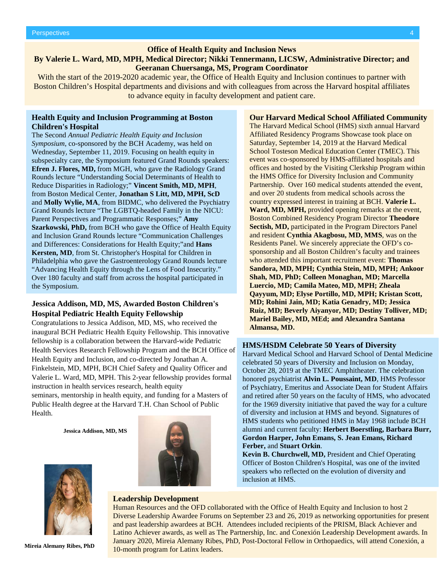#### **Office of Health Equity and Inclusion News**

## **By Valerie L. Ward, MD, MPH, Medical Director; Nikki Tennermann, LICSW, Administrative Director; and Geeranan Chuersanga, MS, Program Coordinator**

With the start of the 2019-2020 academic year, the Office of Health Equity and Inclusion continues to partner with Boston Children's Hospital departments and divisions and with colleagues from across the Harvard hospital affiliates to advance equity in faculty development and patient care.

#### **Health Equity and Inclusion Programming at Boston Children's Hospital**

The Second *Annual Pediatric Health Equity and Inclusion Symposium*, co-sponsored by the BCH Academy, was held on Wednesday, September 11, 2019. Focusing on health equity in subspecialty care, the Symposium featured Grand Rounds speakers: **Efren J. Flores, MD,** from MGH, who gave the Radiology Grand Rounds lecture "Understanding Social Determinants of Health to Reduce Disparities in Radiology;" **Vincent Smith, MD, MPH**, from Boston Medical Center, **Jonathan S Litt, MD, MPH, ScD** and **Molly Wylie, MA**, from BIDMC, who delivered the Psychiatry Grand Rounds lecture "The LGBTQ-headed Family in the NICU: Parent Perspectives and Programmatic Responses;" **Amy Szarkowski, PhD,** from BCH who gave the Office of Health Equity and Inclusion Grand Rounds lecture "Communication Challenges and Differences: Considerations for Health Equity;"and **Hans Kersten, MD**, from St. Christopher's Hospital for Children in Philadelphia who gave the Gastroenterology Grand Rounds lecture "Advancing Health Equity through the Lens of Food Insecurity." Over 180 faculty and staff from across the hospital participated in the Symposium.

#### **Jessica Addison, MD, MS, Awarded Boston Children's Hospital Pediatric Health Equity Fellowship**

Congratulations to Jessica Addison, MD, MS, who received the inaugural BCH Pediatric Health Equity Fellowship. This innovative fellowship is a collaboration between the Harvard-wide Pediatric Health Services Research Fellowship Program and the BCH Office of Health Equity and Inclusion, and co-directed by Jonathan A. Finkelstein, MD, MPH, BCH Chief Safety and Quality Officer and Valerie L. Ward, MD, MPH. This 2-year fellowship provides formal instruction in health services research, health equity seminars, mentorship in health equity, and funding for a Masters of Public Health degree at the Harvard T.H. Chan School of Public Health.

**Jessica Addison, MD, MS**



The Harvard Medical School (HMS) sixth annual Harvard Affiliated Residency Programs Showcase took place on Saturday, September 14, 2019 at the Harvard Medical School Tosteson Medical Education Center (TMEC). This event was co-sponsored by HMS-affiliated hospitals and offices and hosted by the Visiting Clerkship Program within the HMS Office for Diversity Inclusion and Community Partnership. Over 160 medical students attended the event, and over 20 students from medical schools across the country expressed interest in training at BCH. **Valerie L. Ward, MD, MPH,** provided opening remarks at the event, Boston Combined Residency Program Director **Theodore Sectish, MD,** participated in the Program Directors Panel and resident **Cynthia Akagbosu, MD, MMS**, was on the Residents Panel. We sincerely appreciate the OFD's cosponsorship and all Boston Children's faculty and trainees who attended this important recruitment event: **Thomas Sandora, MD, MPH; Cynthia Stein, MD, MPH; Ankoor Shah, MD, PhD; Colleen Monaghan, MD; Marcella Luercio, MD; Camila Mateo, MD, MPH; Zheala Qayyum, MD; Elyse Portillo, MD, MPH; Kristan Scott, MD; Rohini Jain, MD; Katia Genadry, MD; Jessica Ruiz, MD; Beverly Aiyanyor, MD; Destiny Tolliver, MD; Mariel Bailey, MD, MEd; and Alexandra Santana Almansa, MD.**

**Our Harvard Medical School Affiliated Community**

#### **HMS/HSDM Celebrate 50 Years of Diversity**

Harvard Medical School and Harvard School of Dental Medicine celebrated 50 years of Diversity and Inclusion on Monday, October 28, 2019 at the TMEC Amphitheater. The celebration honored psychiatrist **Alvin L. Poussaint, MD**, HMS Professor of Psychiatry, Emeritus and Associate Dean for Student Affairs and retired after 50 years on the faculty of HMS, who advocated for the 1969 diversity initiative that paved the way for a culture of diversity and inclusion at HMS and beyond. Signatures of HMS students who petitioned HMS in May 1968 include BCH alumni and current faculty: **Herbert Boerstling, Barbara Burr, Gordon Harper, John Emans, S. Jean Emans, Richard Ferber,** and **Stuart Orkin**.

**Kevin B. Churchwell, MD,** President and Chief Operating Officer of Boston Children's Hospital, was one of the invited speakers who reflected on the evolution of diversity and inclusion at HMS.



**Mireia Alemany Ribes, PhD**

#### **Leadership Development**

Human Resources and the OFD collaborated with the Office of Health Equity and Inclusion to host 2 Diverse Leadership Awardee Forums on September 23 and 26, 2019 as networking opportunities for present and past leadership awardees at BCH. Attendees included recipients of the PRISM, Black Achiever and Latino Achiever awards, as well as The Partnership, Inc. and Conexión Leadership Development awards. In January 2020, Mireia Alemany Ribes, PhD, Post-Doctoral Fellow in Orthopaedics, will attend Conexión, a 10-month program for Latinx leaders.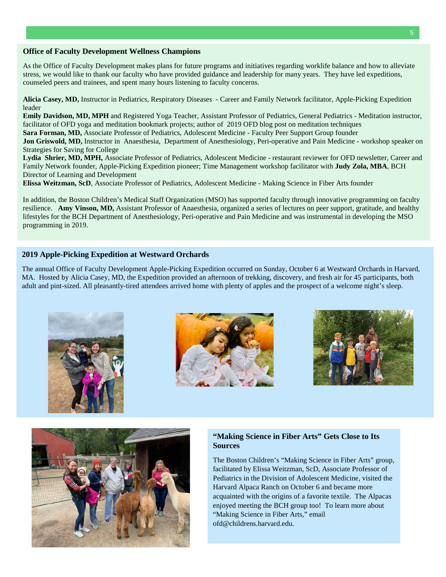#### **Office of Faculty Development Wellness Champions**

As the Office of Faculty Development makes plans for future programs and initiatives regarding worklife balance and how to alleviate stress, we would like to thank our faculty who have provided guidance and leadership for many years. They have led expeditions, counseled peers and trainees, and spent many hours listening to faculty concerns.

**Alicia Casey, MD,** Instructor in Pediatrics, Respiratory Diseases - Career and Family Network facilitator, Apple-Picking Expedition leader

**Emily Davidson, MD, MPH** and Registered Yoga Teacher, Assistant Professor of Pediatrics, General Pediatrics - Meditation instructor, facilitator of OFD yoga and meditation bookmark projects; author of 2019 OFD blog post on meditation techniques

**Sara Forman, MD,** Associate Professor of Pediatrics, Adolescent Medicine - Faculty Peer Support Group founder

**Jon Griswold, MD,** Instructor in Anaesthesia, Department of Anesthesiology, Peri-operative and Pain Medicine - workshop speaker on Strategies for Saving for College

**Lydia Shrier, MD, MPH,** Associate Professor of Pediatrics, Adolescent Medicine - restaurant reviewer for OFD newsletter, Career and Family Network founder, Apple-Picking Expedition pioneer; Time Management workshop facilitator with **Judy Zola, MBA**, BCH Director of Learning and Development

**Elissa Weitzman, ScD**, Associate Professor of Pediatrics, Adolescent Medicine - Making Science in Fiber Arts founder

In addition, the Boston Children's Medical Staff Organization (MSO) has supported faculty through innovative programming on faculty resilience. **Amy Vinson, MD,** Assistant Professor of Anaesthesia, organized a series of lectures on peer support, gratitude, and healthy lifestyles for the BCH Department of Anesthesiology, Peri-operative and Pain Medicine and was instrumental in developing the MSO programming in 2019.

#### **2019 Apple-Picking Expedition at Westward Orchards**

The annual Office of Faculty Development Apple-Picking Expedition occurred on Sunday, October 6 at Westward Orchards in Harvard, MA. Hosted by Alicia Casey, MD, the Expedition provided an afternoon of trekking, discovery, and fresh air for 45 participants, both adult and pint-sized. All pleasantly-tired attendees arrived home with plenty of apples and the prospect of a welcome night's sleep.









#### **"Making Science in Fiber Arts" Gets Close to Its Sources**

The Boston Children's "Making Science in Fiber Arts" group, facilitated by Elissa Weitzman, ScD, Associate Professor of Pediatrics in the Division of Adolescent Medicine, visited the Harvard Alpaca Ranch on October 6 and became more acquainted with the origins of a favorite textile. The Alpacas enjoyed meeting the BCH group too! To learn more about "Making Science in Fiber Arts," email [ofd@childrens.harvard.edu.](mailto:ofd@childrens.harvard.edu)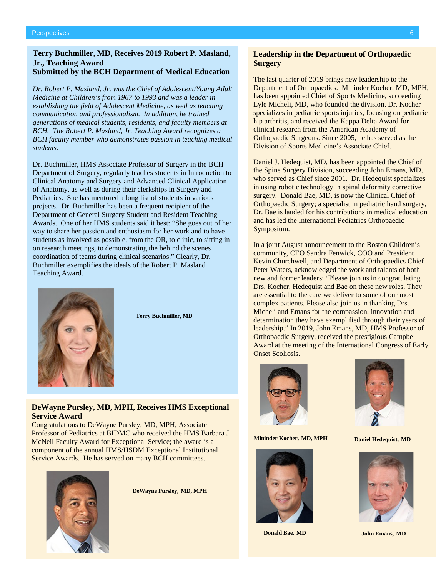#### **Terry Buchmiller, MD, Receives 2019 Robert P. Masland, Jr., Teaching Award Submitted by the BCH Department of Medical Education**

*Dr. Robert P. Masland, Jr. was the Chief of Adolescent/Young Adult Medicine at Children's from 1967 to 1993 and was a leader in establishing the field of Adolescent Medicine, as well as teaching communication and professionalism. In addition, he trained generations of medical students, residents, and faculty members at BCH. The Robert P. Masland, Jr. Teaching Award recognizes a BCH faculty member who demonstrates passion in teaching medical students.*

Dr. Buchmiller, HMS Associate Professor of Surgery in the BCH Department of Surgery, regularly teaches students in Introduction to Clinical Anatomy and Surgery and Advanced Clinical Application of Anatomy, as well as during their clerkships in Surgery and Pediatrics. She has mentored a long list of students in various projects. Dr. Buchmiller has been a frequent recipient of the Department of General Surgery Student and Resident Teaching Awards. One of her HMS students said it best: "She goes out of her way to share her passion and enthusiasm for her work and to have students as involved as possible, from the OR, to clinic, to sitting in on research meetings, to demonstrating the behind the scenes coordination of teams during clinical scenarios." Clearly, Dr. Buchmiller exemplifies the ideals of the Robert P. Masland Teaching Award.



**Terry Buchmiller, MD**

## **DeWayne Pursley, MD, MPH, Receives HMS Exceptional Service Award**

Congratulations to DeWayne Pursley, MD, MPH, Associate Professor of Pediatrics at BIDMC who received the HMS Barbara J. McNeil Faculty Award for Exceptional Service; the award is a component of the annual HMS/HSDM Exceptional Institutional Service Awards. He has served on many BCH committees.



**DeWayne Pursley, MD, MPH**

### **Leadership in the Department of Orthopaedic Surgery**

The last quarter of 2019 brings new leadership to the Department of Orthopaedics. Mininder Kocher, MD, MPH, has been appointed Chief of Sports Medicine, succeeding Lyle Micheli, MD, who founded the division. Dr. Kocher specializes in pediatric sports injuries, focusing on pediatric hip arthritis, and received the Kappa Delta Award for clinical research from the American Academy of Orthopaedic Surgeons. Since 2005, he has served as the Division of Sports Medicine's Associate Chief.

Daniel J. Hedequist, MD, has been appointed the Chief of the Spine Surgery Division, succeeding John Emans, MD, who served as Chief since 2001. Dr. Hedequist specializes in using robotic technology in spinal deformity corrective surgery. Donald Bae, MD, is now the Clinical Chief of Orthopaedic Surgery; a specialist in pediatric hand surgery, Dr. Bae is lauded for his contributions in medical education and has led the International Pediatrics Orthopaedic Symposium.

In a joint August announcement to the Boston Children's community, CEO Sandra Fenwick, COO and President Kevin Churchwell, and Department of Orthopaedics Chief Peter Waters, acknowledged the work and talents of both new and former leaders: "Please join us in congratulating Drs. Kocher, Hedequist and Bae on these new roles. They are essential to the care we deliver to some of our most complex patients. Please also join us in thanking Drs. Micheli and Emans for the compassion, innovation and determination they have exemplified through their years of leadership." In 2019, John Emans, MD, HMS Professor of Orthopaedic Surgery, received the prestigious Campbell Award at the meeting of the International Congress of Early Onset Scoliosis.



**Mininder Kocher, MD, MPH Daniel Hedequist, MD**



**Donald Bae, MD**





**John Emans, MD**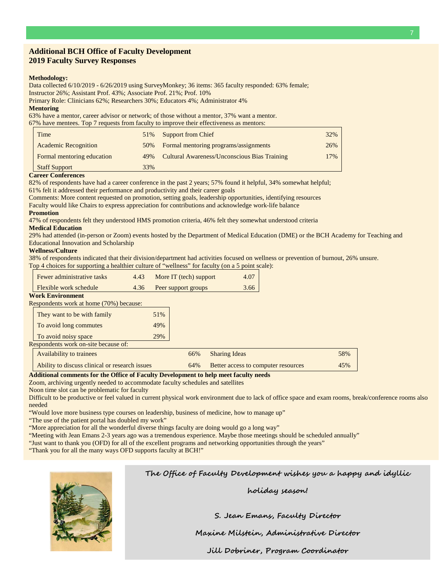#### **Additional BCH Office of Faculty Development 2019 Faculty Survey Responses**

#### **Methodology:**

Data collected 6/10/2019 - 6/26/2019 using SurveyMonkey; 36 items: 365 faculty responded: 63% female;

Instructor 26%; Assistant Prof. 43%; Associate Prof. 21%; Prof. 10%

Primary Role: Clinicians 62%; Researchers 30%; Educators 4%; Administrator 4%

#### **Mentoring**

63% have a mentor, career advisor or network; of those without a mentor, 37% want a mentor. 67% have mentees. Top 7 requests from faculty to improve their effectiveness as mentors:

| Time                        | 51% | <b>Support from Chief</b>                           | 32% |
|-----------------------------|-----|-----------------------------------------------------|-----|
| <b>Academic Recognition</b> | 50% | Formal mentoring programs/assignments               | 26% |
| Formal mentoring education  | 49% | <b>Cultural Awareness/Unconscious Bias Training</b> | 17% |
| <b>Staff Support</b>        | 33% |                                                     |     |

**Career Conferences** 

82% of respondents have had a career conference in the past 2 years; 57% found it helpful, 34% somewhat helpful;

61% felt it addressed their performance and productivity and their career goals

Comments: More content requested on promotion, setting goals, leadership opportunities, identifying resources

Faculty would like Chairs to express appreciation for contributions and acknowledge work-life balance

#### **Promotion**

47% of respondents felt they understood HMS promotion criteria, 46% felt they somewhat understood criteria

#### **Medical Education**

29% had attended (in-person or Zoom) events hosted by the Department of Medical Education (DME) or the BCH Academy for Teaching and Educational Innovation and Scholarship

#### **Wellness/Culture**

38% of respondents indicated that their division/department had activities focused on wellness or prevention of burnout, 26% unsure. Top 4 choices for supporting a healthier culture of "wellness" for faculty (on a 5 point scale):

| <b>Fewer administrative tasks</b> | 4.43 | More IT (tech) support | 4.07 |
|-----------------------------------|------|------------------------|------|
| <b>Flexible work schedule</b>     | 4.36 | Peer support groups    | 3.66 |

#### **Work Environment**

Respondents work at home (70%) because:

| They want to be with family                    | 51% |     |                                     |
|------------------------------------------------|-----|-----|-------------------------------------|
| To avoid long commutes                         | 49% |     |                                     |
| To avoid noisy space                           | 29% |     |                                     |
| Respondents work on-site because of:           |     |     |                                     |
| <b>Availability to trainees</b>                |     | 66% | <b>Sharing Ideas</b>                |
| Ability to discuss clinical or research issues |     | 64% | Better access to computer resources |

**Additional comments for the Office of Faculty Development to help meet faculty needs**

Zoom, archiving urgently needed to accommodate faculty schedules and satellites

Noon time slot can be problematic for faculty

Difficult to be productive or feel valued in current physical work environment due to lack of office space and exam rooms, break/conference rooms also needed

"Would love more business type courses on leadership, business of medicine, how to manage up"

"The use of the patient portal has doubled my work"

"More appreciation for all the wonderful diverse things faculty are doing would go a long way"

"Meeting with Jean Emans 2-3 years ago was a tremendous experience. Maybe those meetings should be scheduled annually"

"Just want to thank you (OFD) for all of the excellent programs and networking opportunities through the years"

"Thank you for all the many ways OFD supports faculty at BCH!"



**The Office of Faculty Development wishes you a happy and idyllic** 

**holiday season!**

**S. Jean Emans, Faculty Director** 

**Maxine Milstein, Administrative Director**

**Jill Dobriner, Program Coordinator**